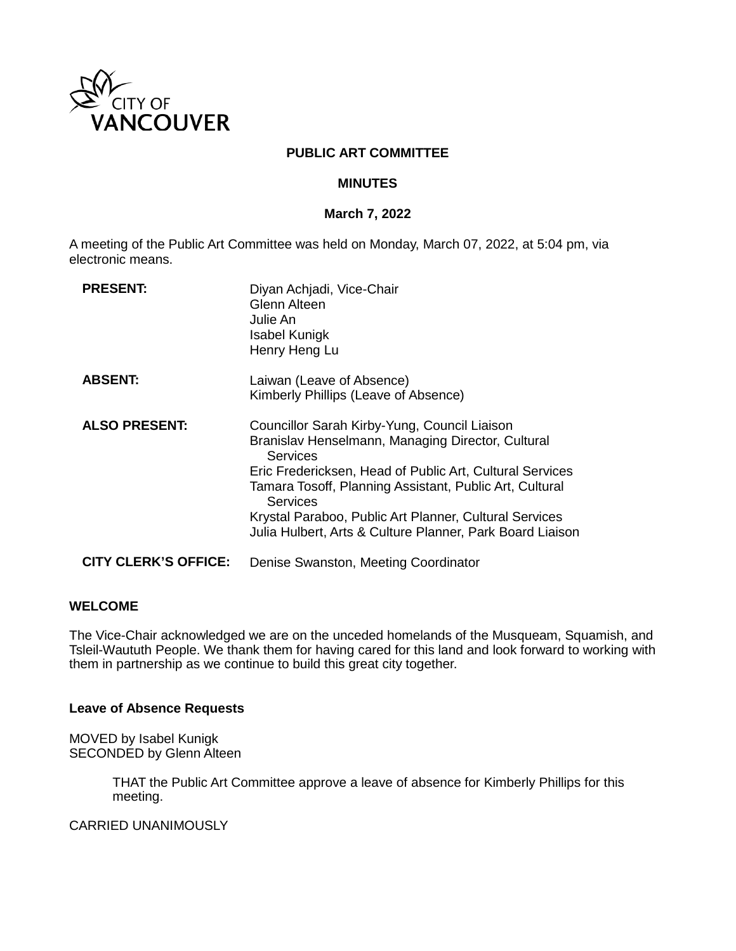

## **PUBLIC ART COMMITTEE**

#### **MINUTES**

#### **March 7, 2022**

A meeting of the Public Art Committee was held on Monday, March 07, 2022, at 5:04 pm, via electronic means.

| <b>PRESENT:</b>             | Diyan Achjadi, Vice-Chair<br>Glenn Alteen<br>Julie An<br><b>Isabel Kunigk</b><br>Henry Heng Lu                                                                                                                                                                                                                                                                                        |
|-----------------------------|---------------------------------------------------------------------------------------------------------------------------------------------------------------------------------------------------------------------------------------------------------------------------------------------------------------------------------------------------------------------------------------|
| <b>ABSENT:</b>              | Laiwan (Leave of Absence)                                                                                                                                                                                                                                                                                                                                                             |
|                             | Kimberly Phillips (Leave of Absence)                                                                                                                                                                                                                                                                                                                                                  |
| <b>ALSO PRESENT:</b>        | Councillor Sarah Kirby-Yung, Council Liaison<br>Branislav Henselmann, Managing Director, Cultural<br><b>Services</b><br>Eric Fredericksen, Head of Public Art, Cultural Services<br>Tamara Tosoff, Planning Assistant, Public Art, Cultural<br><b>Services</b><br>Krystal Paraboo, Public Art Planner, Cultural Services<br>Julia Hulbert, Arts & Culture Planner, Park Board Liaison |
| <b>CITY CLERK'S OFFICE:</b> | Denise Swanston, Meeting Coordinator                                                                                                                                                                                                                                                                                                                                                  |

#### **WELCOME**

The Vice-Chair acknowledged we are on the unceded homelands of the Musqueam, Squamish, and Tsleil-Waututh People. We thank them for having cared for this land and look forward to working with them in partnership as we continue to build this great city together.

#### **Leave of Absence Requests**

MOVED by Isabel Kunigk SECONDED by Glenn Alteen

> THAT the Public Art Committee approve a leave of absence for Kimberly Phillips for this meeting.

CARRIED UNANIMOUSLY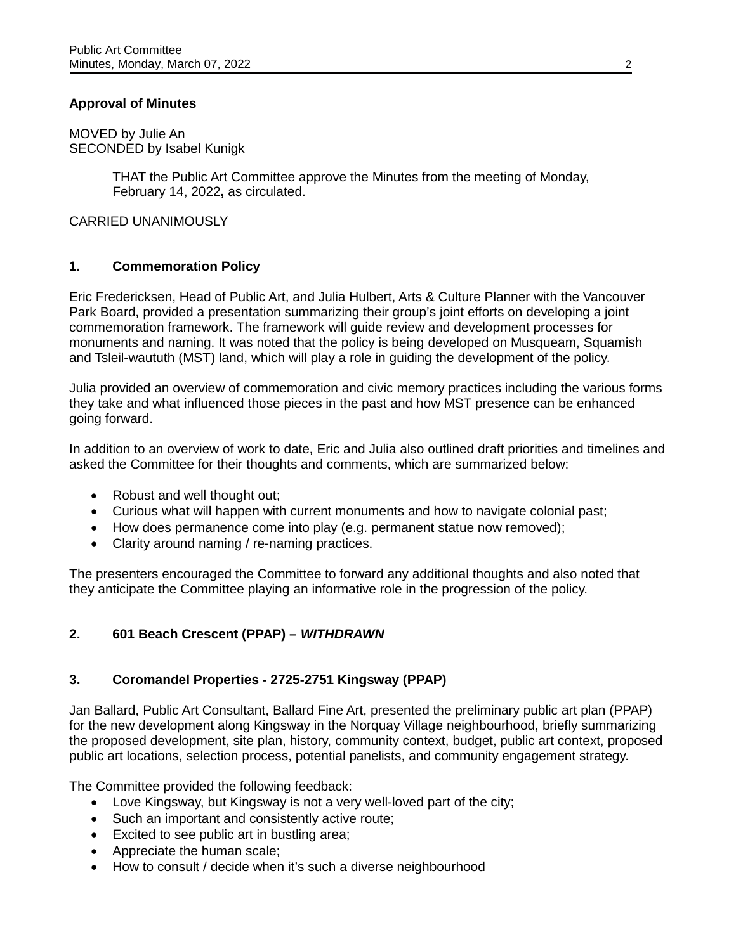## **Approval of Minutes**

MOVED by Julie An SECONDED by Isabel Kunigk

> THAT the Public Art Committee approve the Minutes from the meeting of Monday, February 14, 2022**,** as circulated.

CARRIED UNANIMOUSLY

## **1. Commemoration Policy**

Eric Fredericksen, Head of Public Art, and Julia Hulbert, Arts & Culture Planner with the Vancouver Park Board, provided a presentation summarizing their group's joint efforts on developing a joint commemoration framework. The framework will guide review and development processes for monuments and naming. It was noted that the policy is being developed on Musqueam, Squamish and Tsleil-waututh (MST) land, which will play a role in guiding the development of the policy.

Julia provided an overview of commemoration and civic memory practices including the various forms they take and what influenced those pieces in the past and how MST presence can be enhanced going forward.

In addition to an overview of work to date, Eric and Julia also outlined draft priorities and timelines and asked the Committee for their thoughts and comments, which are summarized below:

- Robust and well thought out;
- Curious what will happen with current monuments and how to navigate colonial past;
- How does permanence come into play (e.g. permanent statue now removed);
- Clarity around naming / re-naming practices.

The presenters encouraged the Committee to forward any additional thoughts and also noted that they anticipate the Committee playing an informative role in the progression of the policy.

## **2. 601 Beach Crescent (PPAP) –** *WITHDRAWN*

## **3. Coromandel Properties - 2725-2751 Kingsway (PPAP)**

Jan Ballard, Public Art Consultant, Ballard Fine Art, presented the preliminary public art plan (PPAP) for the new development along Kingsway in the Norquay Village neighbourhood, briefly summarizing the proposed development, site plan, history, community context, budget, public art context, proposed public art locations, selection process, potential panelists, and community engagement strategy.

The Committee provided the following feedback:

- Love Kingsway, but Kingsway is not a very well-loved part of the city;
- Such an important and consistently active route;
- Excited to see public art in bustling area;
- Appreciate the human scale;
- How to consult / decide when it's such a diverse neighbourhood